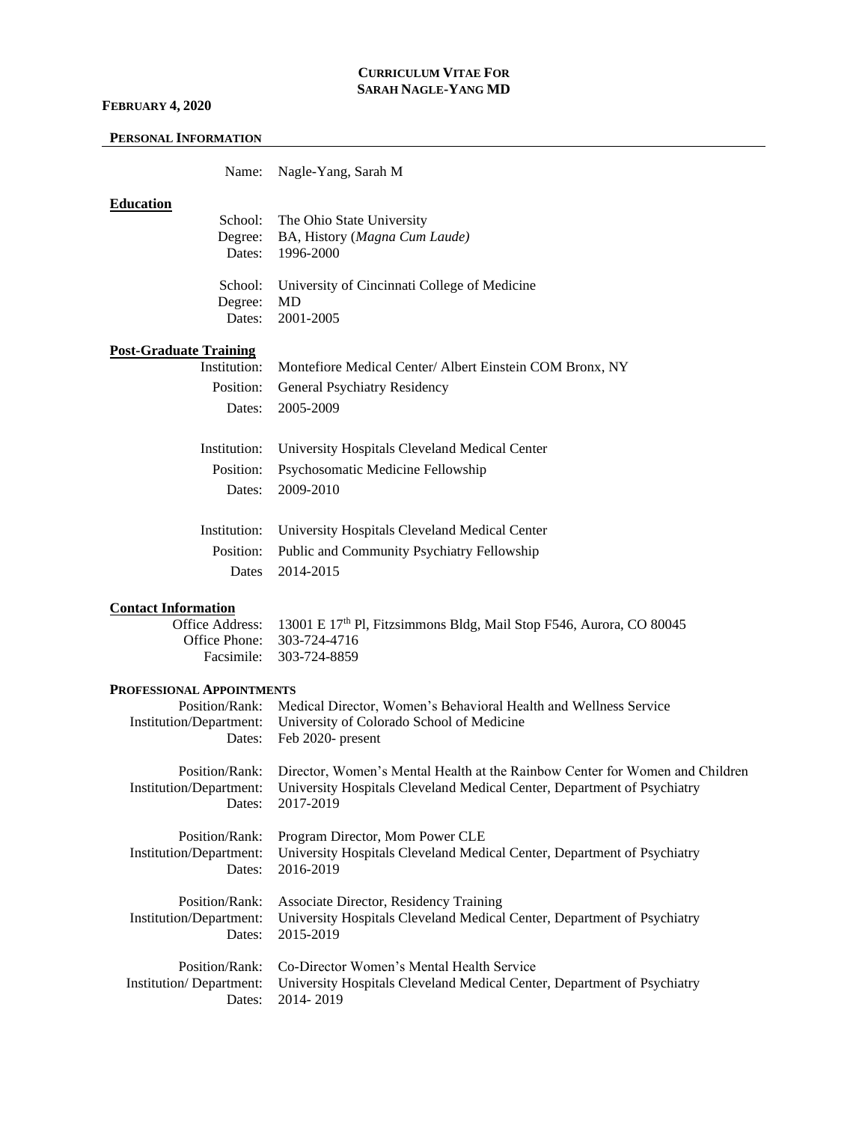#### **FEBRUARY 4, 2020**

#### **PERSONAL INFORMATION**

Name: Nagle-Yang, Sarah M

## **Education**

|            | School: The Ohio State University                    |
|------------|------------------------------------------------------|
|            | Degree: BA, History (Magna Cum Laude)                |
|            | Dates: 1996-2000                                     |
|            |                                                      |
|            | School: University of Cincinnati College of Medicine |
| Degree: MD |                                                      |
|            | Dates: 2001-2005                                     |

# **Post-Graduate Training**

| тташши |                                                                      |
|--------|----------------------------------------------------------------------|
|        | Institution: Montefiore Medical Center/Albert Einstein COM Bronx, NY |
|        | Position: General Psychiatry Residency                               |
|        | Dates: 2005-2009                                                     |
|        |                                                                      |
|        | Institution: University Hospitals Cleveland Medical Center           |
|        | Position: Psychosomatic Medicine Fellowship                          |
|        | Dates: 2009-2010                                                     |
|        |                                                                      |

| Institution: University Hospitals Cleveland Medical Center |
|------------------------------------------------------------|
| Position: Public and Community Psychiatry Fellowship       |
| Dates 2014-2015                                            |

## **Contact Information**

Office Address: 13001 E 17<sup>th</sup> Pl, Fitzsimmons Bldg, Mail Stop F546, Aurora, CO 80045 Office Phone: 303-724-4716 Facsimile: 303-724-8859

#### **PROFESSIONAL APPOINTMENTS**

| Institution/Department:<br>Dates: | Position/Rank: Medical Director, Women's Behavioral Health and Wellness Service<br>University of Colorado School of Medicine<br>Feb 2020- present |
|-----------------------------------|---------------------------------------------------------------------------------------------------------------------------------------------------|
| Position/Rank:                    | Director, Women's Mental Health at the Rainbow Center for Women and Children                                                                      |
| Institution/Department:           | University Hospitals Cleveland Medical Center, Department of Psychiatry                                                                           |
| Dates:                            | 2017-2019                                                                                                                                         |
| Position/Rank:                    | Program Director, Mom Power CLE                                                                                                                   |
| Institution/Department:           | University Hospitals Cleveland Medical Center, Department of Psychiatry                                                                           |
| Dates:                            | 2016-2019                                                                                                                                         |
| Position/Rank:                    | Associate Director, Residency Training                                                                                                            |
| Institution/Department:           | University Hospitals Cleveland Medical Center, Department of Psychiatry                                                                           |
| Dates:                            | 2015-2019                                                                                                                                         |
| Position/Rank:                    | Co-Director Women's Mental Health Service                                                                                                         |
| Institution/Department:           | University Hospitals Cleveland Medical Center, Department of Psychiatry                                                                           |
| Dates:                            | 2014-2019                                                                                                                                         |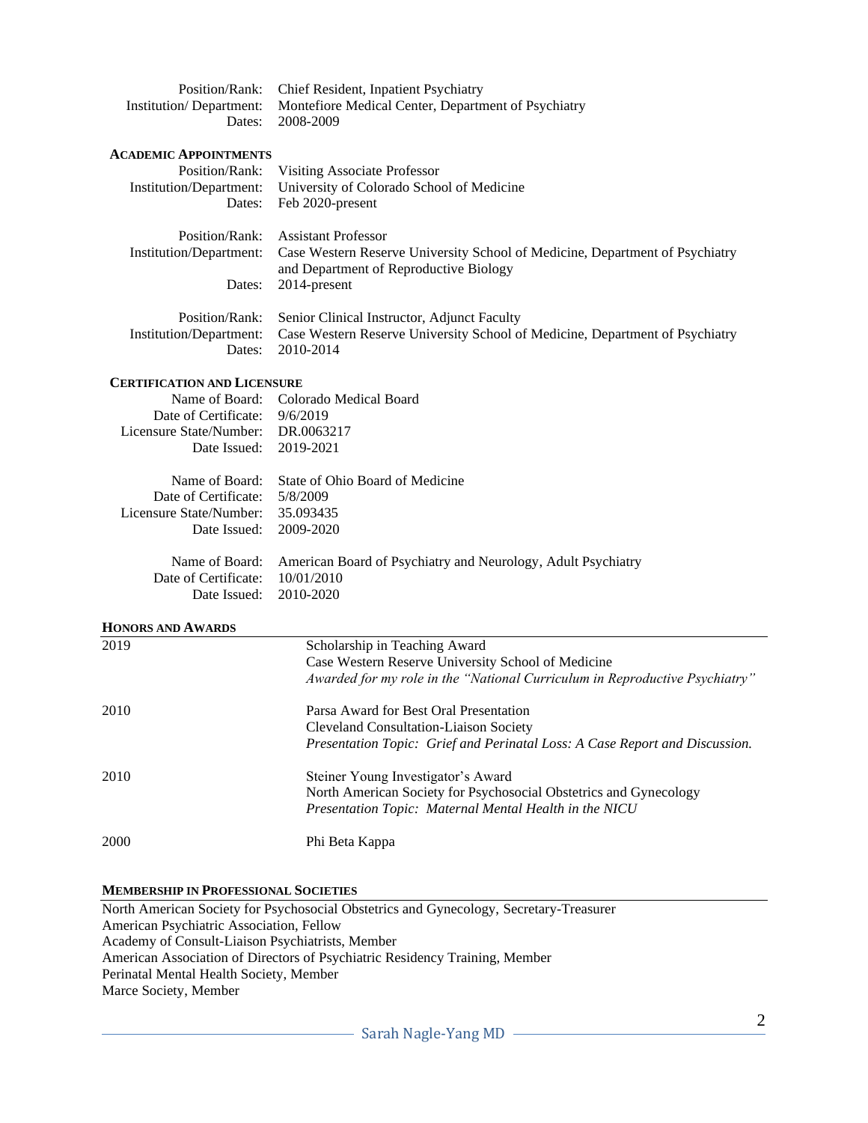| Position/Rank: Chief Resident, Inpatient Psychiatry                         |
|-----------------------------------------------------------------------------|
| Institution/Department: Montefiore Medical Center, Department of Psychiatry |
| Dates: 2008-2009                                                            |

#### **ACADEMIC APPOINTMENTS**

|                         | Position/Rank: Visiting Associate Professor                                                          |
|-------------------------|------------------------------------------------------------------------------------------------------|
| Institution/Department: | University of Colorado School of Medicine                                                            |
|                         | Dates: Feb 2020-present                                                                              |
|                         | Position/Rank: Assistant Professor                                                                   |
|                         | Institution/Department: Case Western Reserve University School of Medicine, Department of Psychiatry |
|                         | and Department of Reproductive Biology                                                               |
| Dates:                  | 2014-present                                                                                         |
| Position/Rank:          | Senior Clinical Instructor, Adjunct Faculty                                                          |
|                         | Institution/Department: Case Western Reserve University School of Medicine, Department of Psychiatry |
| Dates:                  | 2010-2014                                                                                            |

#### **CERTIFICATION AND LICENSURE**

| Name of Board: Colorado Medical Board |
|---------------------------------------|
| Date of Certificate: 9/6/2019         |
| Licensure State/Number: DR.0063217    |
| Date Issued: 2019-2021                |
|                                       |

|                                   | Name of Board: State of Ohio Board of Medicine                              |
|-----------------------------------|-----------------------------------------------------------------------------|
| Date of Certificate: 5/8/2009     |                                                                             |
| Licensure State/Number: 35.093435 |                                                                             |
| Date Issued: 2009-2020            |                                                                             |
|                                   |                                                                             |
|                                   | Name of Board: American Board of Psychiatry and Neurology, Adult Psychiatry |
|                                   |                                                                             |

Date of Certificate: 10/01/2010 Date Issued: 2010-2020

# **HONORS AND AWARDS**

| 2019 | Scholarship in Teaching Award                                               |
|------|-----------------------------------------------------------------------------|
|      | Case Western Reserve University School of Medicine                          |
|      | Awarded for my role in the "National Curriculum in Reproductive Psychiatry" |
| 2010 | Parsa Award for Best Oral Presentation                                      |
|      | <b>Cleveland Consultation-Liaison Society</b>                               |
|      | Presentation Topic: Grief and Perinatal Loss: A Case Report and Discussion. |
| 2010 | Steiner Young Investigator's Award                                          |
|      | North American Society for Psychosocial Obstetrics and Gynecology           |
|      | Presentation Topic: Maternal Mental Health in the NICU                      |
| 2000 | Phi Beta Kappa                                                              |

#### **MEMBERSHIP IN PROFESSIONAL SOCIETIES**

North American Society for Psychosocial Obstetrics and Gynecology, Secretary-Treasurer American Psychiatric Association, Fellow Academy of Consult-Liaison Psychiatrists, Member American Association of Directors of Psychiatric Residency Training, Member Perinatal Mental Health Society, Member Marce Society, Member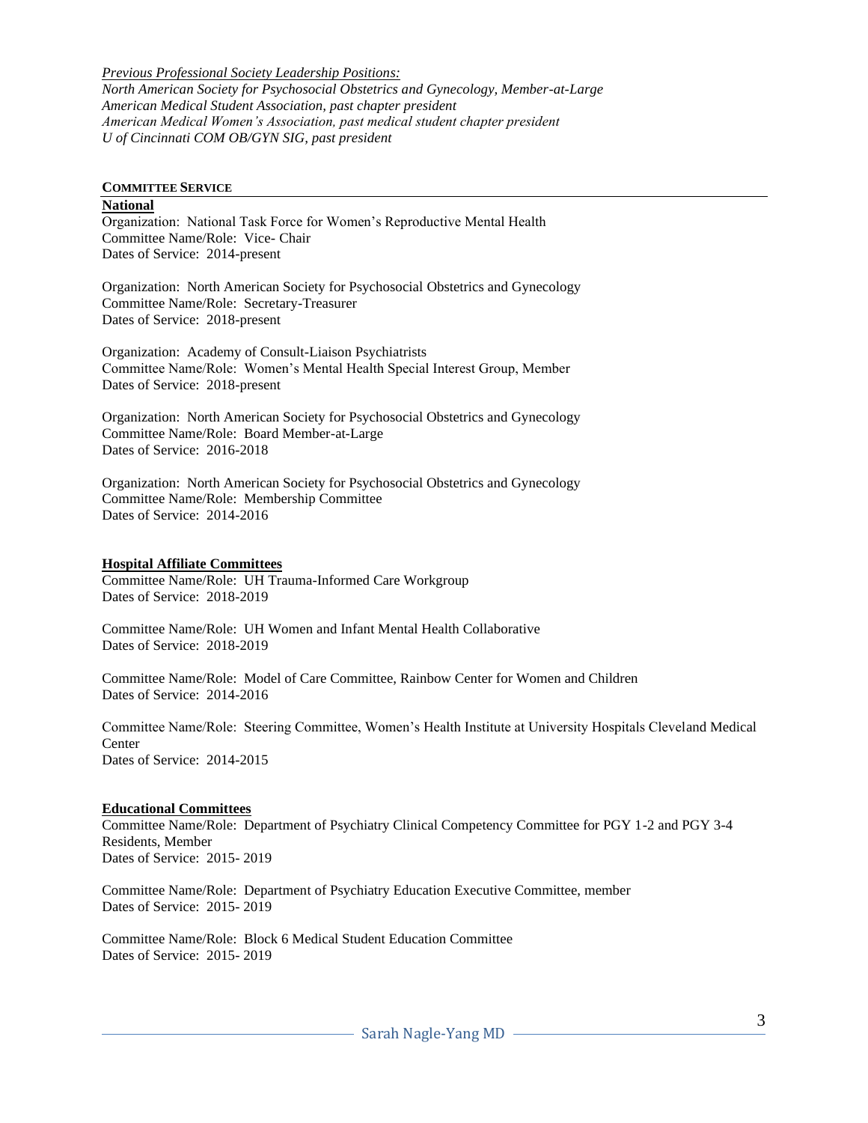*Previous Professional Society Leadership Positions: North American Society for Psychosocial Obstetrics and Gynecology, Member-at-Large American Medical Student Association, past chapter president American Medical Women's Association, past medical student chapter president U of Cincinnati COM OB/GYN SIG, past president*

#### **COMMITTEE SERVICE**

#### **National**

Organization: National Task Force for Women's Reproductive Mental Health Committee Name/Role: Vice- Chair Dates of Service: 2014-present

Organization: North American Society for Psychosocial Obstetrics and Gynecology Committee Name/Role: Secretary-Treasurer Dates of Service: 2018-present

Organization: Academy of Consult-Liaison Psychiatrists Committee Name/Role: Women's Mental Health Special Interest Group, Member Dates of Service: 2018-present

Organization: North American Society for Psychosocial Obstetrics and Gynecology Committee Name/Role: Board Member-at-Large Dates of Service: 2016-2018

Organization: North American Society for Psychosocial Obstetrics and Gynecology Committee Name/Role: Membership Committee Dates of Service: 2014-2016

#### **Hospital Affiliate Committees**

Committee Name/Role: UH Trauma-Informed Care Workgroup Dates of Service: 2018-2019

Committee Name/Role: UH Women and Infant Mental Health Collaborative Dates of Service: 2018-2019

Committee Name/Role: Model of Care Committee, Rainbow Center for Women and Children Dates of Service: 2014-2016

Committee Name/Role: Steering Committee, Women's Health Institute at University Hospitals Cleveland Medical Center Dates of Service: 2014-2015

#### **Educational Committees**

Committee Name/Role: Department of Psychiatry Clinical Competency Committee for PGY 1-2 and PGY 3-4 Residents, Member Dates of Service: 2015- 2019

Committee Name/Role: Department of Psychiatry Education Executive Committee, member Dates of Service: 2015- 2019

Committee Name/Role: Block 6 Medical Student Education Committee Dates of Service: 2015- 2019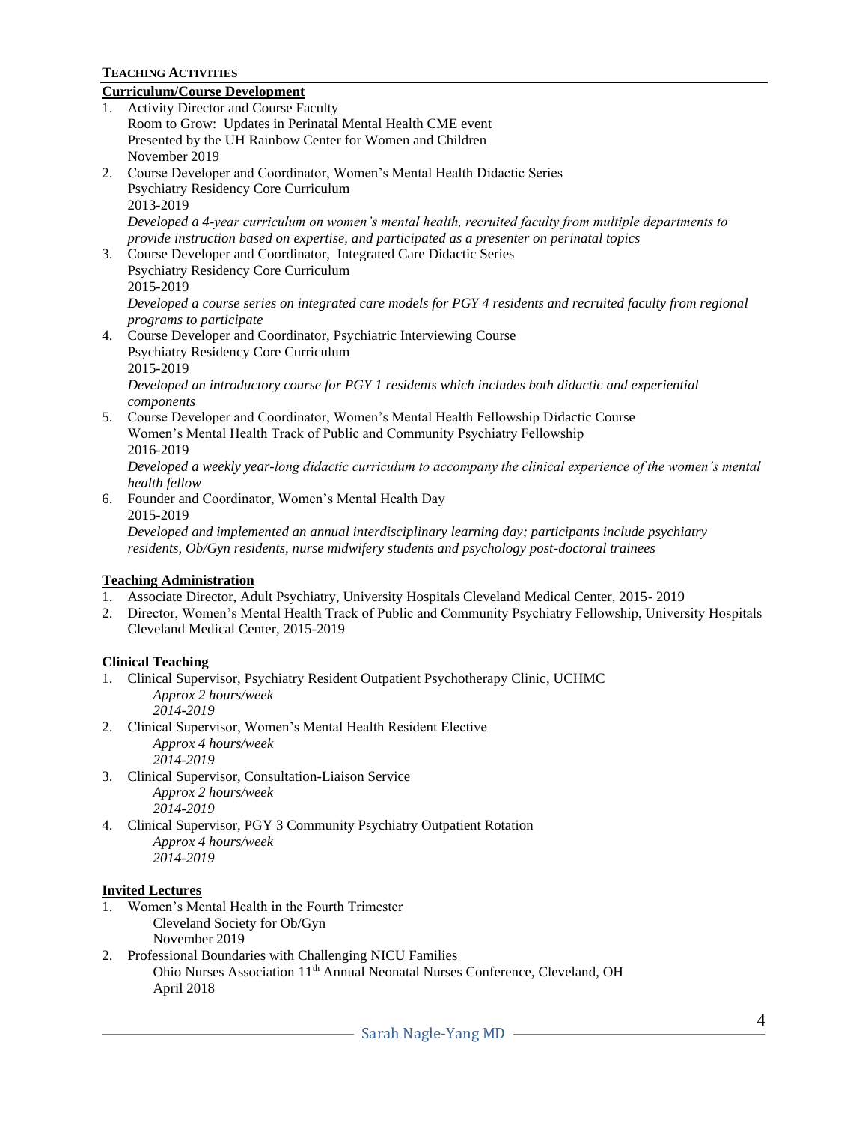# **TEACHING ACTIVITIES**

# **Curriculum/Course Development**

- 1. Activity Director and Course Faculty Room to Grow: Updates in Perinatal Mental Health CME event Presented by the UH Rainbow Center for Women and Children November 2019
- 2. Course Developer and Coordinator, Women's Mental Health Didactic Series Psychiatry Residency Core Curriculum 2013-2019 *Developed a 4-year curriculum on women's mental health, recruited faculty from multiple departments to provide instruction based on expertise, and participated as a presenter on perinatal topics*
- 3. Course Developer and Coordinator, Integrated Care Didactic Series Psychiatry Residency Core Curriculum 2015-2019 *Developed a course series on integrated care models for PGY 4 residents and recruited faculty from regional programs to participate*
- 4. Course Developer and Coordinator, Psychiatric Interviewing Course Psychiatry Residency Core Curriculum 2015-2019 *Developed an introductory course for PGY 1 residents which includes both didactic and experiential components*
- 5. Course Developer and Coordinator, Women's Mental Health Fellowship Didactic Course Women's Mental Health Track of Public and Community Psychiatry Fellowship 2016-2019

*Developed a weekly year-long didactic curriculum to accompany the clinical experience of the women's mental health fellow*

6. Founder and Coordinator, Women's Mental Health Day 2015-2019 *Developed and implemented an annual interdisciplinary learning day; participants include psychiatry residents, Ob/Gyn residents, nurse midwifery students and psychology post-doctoral trainees*

# **Teaching Administration**

- 1. Associate Director, Adult Psychiatry, University Hospitals Cleveland Medical Center, 2015- 2019
- 2. Director, Women's Mental Health Track of Public and Community Psychiatry Fellowship, University Hospitals Cleveland Medical Center, 2015-2019

# **Clinical Teaching**

- 1. Clinical Supervisor, Psychiatry Resident Outpatient Psychotherapy Clinic, UCHMC *Approx 2 hours/week 2014-2019*
- 2. Clinical Supervisor, Women's Mental Health Resident Elective *Approx 4 hours/week 2014-2019*
- 3. Clinical Supervisor, Consultation-Liaison Service *Approx 2 hours/week 2014-2019*
- 4. Clinical Supervisor, PGY 3 Community Psychiatry Outpatient Rotation *Approx 4 hours/week 2014-2019*

# **Invited Lectures**

- 1. Women's Mental Health in the Fourth Trimester Cleveland Society for Ob/Gyn November 2019
- 2. Professional Boundaries with Challenging NICU Families Ohio Nurses Association 11th Annual Neonatal Nurses Conference, Cleveland, OH April 2018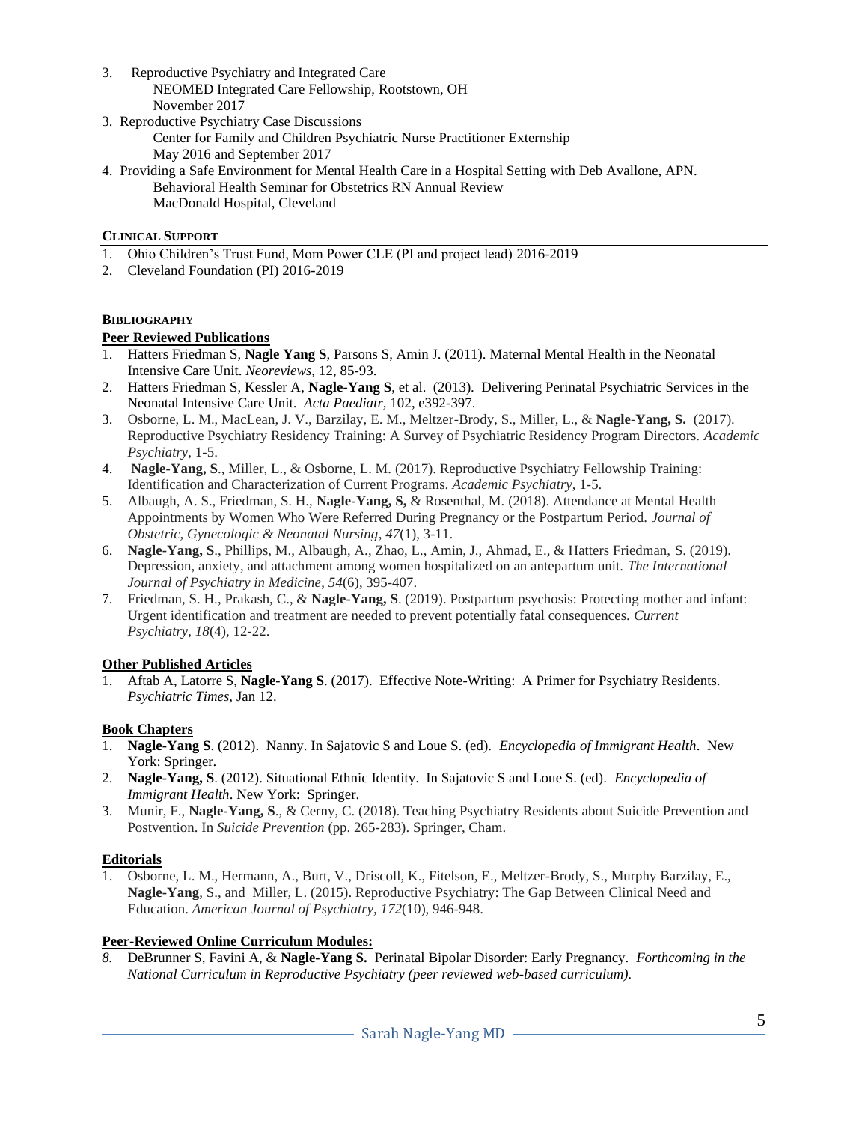- 3. Reproductive Psychiatry and Integrated Care NEOMED Integrated Care Fellowship, Rootstown, OH November 2017
- 3. Reproductive Psychiatry Case Discussions Center for Family and Children Psychiatric Nurse Practitioner Externship May 2016 and September 2017
- 4. Providing a Safe Environment for Mental Health Care in a Hospital Setting with Deb Avallone, APN. Behavioral Health Seminar for Obstetrics RN Annual Review MacDonald Hospital, Cleveland

## **CLINICAL SUPPORT**

- 1. Ohio Children's Trust Fund, Mom Power CLE (PI and project lead) 2016-2019
- 2. Cleveland Foundation (PI) 2016-2019

## **BIBLIOGRAPHY**

## **Peer Reviewed Publications**

- 1. Hatters Friedman S, **Nagle Yang S**, Parsons S, Amin J. (2011). Maternal Mental Health in the Neonatal Intensive Care Unit. *Neoreviews,* 12, 85-93.
- 2. Hatters Friedman S, Kessler A, **Nagle-Yang S**, et al. (2013). Delivering Perinatal Psychiatric Services in the Neonatal Intensive Care Unit. *Acta Paediatr,* 102, e392-397.
- 3. Osborne, L. M., MacLean, J. V., Barzilay, E. M., Meltzer-Brody, S., Miller, L., & **Nagle-Yang, S.** (2017). Reproductive Psychiatry Residency Training: A Survey of Psychiatric Residency Program Directors. *Academic Psychiatry*, 1-5.
- 4. **Nagle-Yang, S**., Miller, L., & Osborne, L. M. (2017). Reproductive Psychiatry Fellowship Training: Identification and Characterization of Current Programs. *Academic Psychiatry*, 1-5.
- 5. Albaugh, A. S., Friedman, S. H., **Nagle-Yang, S,** & Rosenthal, M. (2018). Attendance at Mental Health Appointments by Women Who Were Referred During Pregnancy or the Postpartum Period. *Journal of Obstetric, Gynecologic & Neonatal Nursing*, *47*(1), 3-11.
- 6. **Nagle-Yang, S**., Phillips, M., Albaugh, A., Zhao, L., Amin, J., Ahmad, E., & Hatters Friedman, S. (2019). Depression, anxiety, and attachment among women hospitalized on an antepartum unit. *The International Journal of Psychiatry in Medicine*, *54*(6), 395-407.
- 7. Friedman, S. H., Prakash, C., & **Nagle-Yang, S**. (2019). Postpartum psychosis: Protecting mother and infant: Urgent identification and treatment are needed to prevent potentially fatal consequences. *Current Psychiatry*, *18*(4), 12-22.

## **Other Published Articles**

1. Aftab A, Latorre S, **Nagle-Yang S**. (2017). Effective Note-Writing: A Primer for Psychiatry Residents. *Psychiatric Times,* Jan 12.

## **Book Chapters**

- 1. **Nagle-Yang S**. (2012). Nanny. In Sajatovic S and Loue S. (ed). *Encyclopedia of Immigrant Health*. New York: Springer.
- 2. **Nagle-Yang, S**. (2012). Situational Ethnic Identity. In Sajatovic S and Loue S. (ed). *Encyclopedia of Immigrant Health*. New York: Springer.
- 3. Munir, F., **Nagle-Yang, S**., & Cerny, C. (2018). Teaching Psychiatry Residents about Suicide Prevention and Postvention. In *Suicide Prevention* (pp. 265-283). Springer, Cham.

## **Editorials**

1. Osborne, L. M., Hermann, A., Burt, V., Driscoll, K., Fitelson, E., Meltzer-Brody, S., Murphy Barzilay, E., **Nagle-Yang**, S., and Miller, L. (2015). Reproductive Psychiatry: The Gap Between Clinical Need and Education. *American Journal of Psychiatry*, *172*(10), 946-948.

## **Peer-Reviewed Online Curriculum Modules:**

*8.* DeBrunner S, Favini A, & **Nagle-Yang S.** Perinatal Bipolar Disorder: Early Pregnancy. *Forthcoming in the National Curriculum in Reproductive Psychiatry (peer reviewed web-based curriculum).*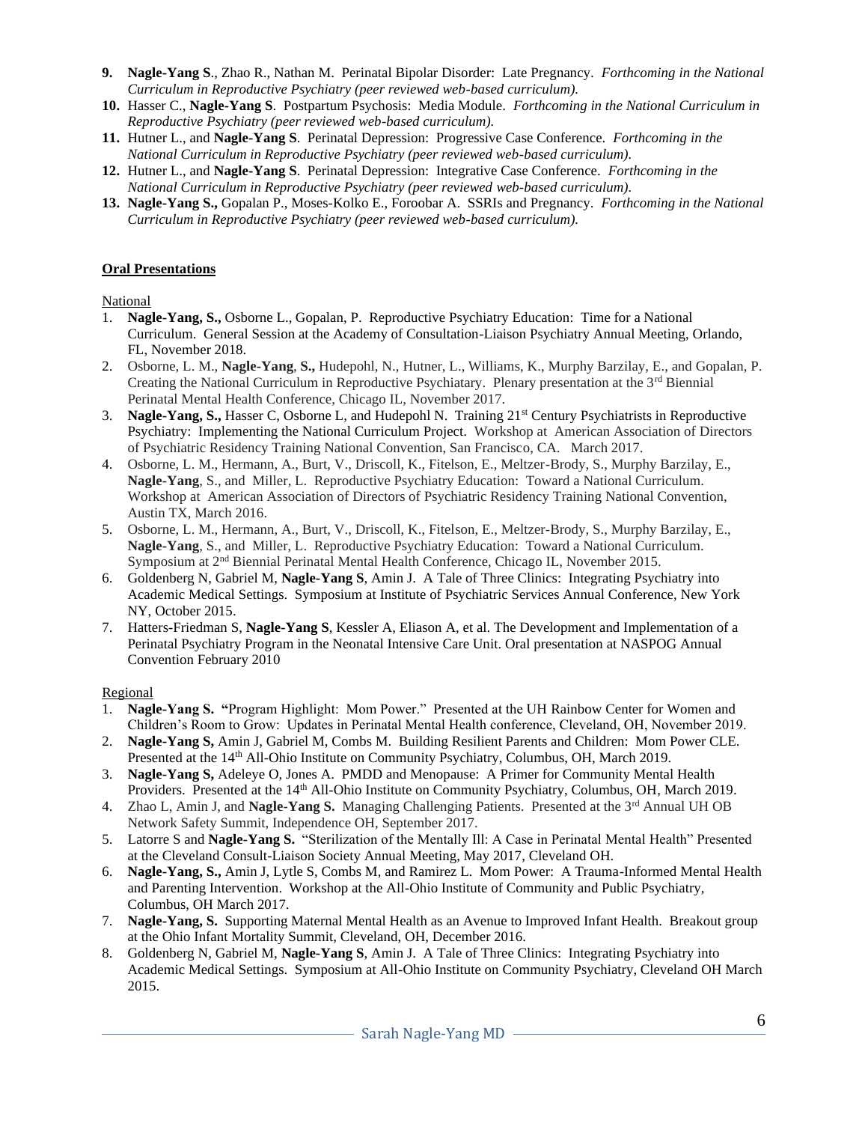- **9. Nagle-Yang S**., Zhao R., Nathan M. Perinatal Bipolar Disorder: Late Pregnancy. *Forthcoming in the National Curriculum in Reproductive Psychiatry (peer reviewed web-based curriculum).*
- **10.** Hasser C., **Nagle-Yang S**. Postpartum Psychosis: Media Module. *Forthcoming in the National Curriculum in Reproductive Psychiatry (peer reviewed web-based curriculum).*
- **11.** Hutner L., and **Nagle-Yang S**. Perinatal Depression: Progressive Case Conference. *Forthcoming in the National Curriculum in Reproductive Psychiatry (peer reviewed web-based curriculum).*
- **12.** Hutner L., and **Nagle-Yang S**. Perinatal Depression: Integrative Case Conference. *Forthcoming in the National Curriculum in Reproductive Psychiatry (peer reviewed web-based curriculum).*
- **13. Nagle-Yang S.,** Gopalan P., Moses-Kolko E., Foroobar A. SSRIs and Pregnancy. *Forthcoming in the National Curriculum in Reproductive Psychiatry (peer reviewed web-based curriculum).*

# **Oral Presentations**

National

- 1. **Nagle-Yang, S.,** Osborne L., Gopalan, P. Reproductive Psychiatry Education: Time for a National Curriculum. General Session at the Academy of Consultation-Liaison Psychiatry Annual Meeting, Orlando, FL, November 2018.
- 2. Osborne, L. M., **Nagle-Yang**, **S.,** Hudepohl, N., Hutner, L., Williams, K., Murphy Barzilay, E., and Gopalan, P. Creating the National Curriculum in Reproductive Psychiatary. Plenary presentation at the  $3<sup>rd</sup>$  Biennial Perinatal Mental Health Conference, Chicago IL, November 2017.
- 3. **Nagle-Yang, S.,** Hasser C, Osborne L, and Hudepohl N. Training 21st Century Psychiatrists in Reproductive Psychiatry: Implementing the National Curriculum Project. Workshop at American Association of Directors of Psychiatric Residency Training National Convention, San Francisco, CA. March 2017.
- 4. Osborne, L. M., Hermann, A., Burt, V., Driscoll, K., Fitelson, E., Meltzer-Brody, S., Murphy Barzilay, E., **Nagle-Yang**, S., and Miller, L. Reproductive Psychiatry Education: Toward a National Curriculum. Workshop at American Association of Directors of Psychiatric Residency Training National Convention, Austin TX, March 2016.
- 5. Osborne, L. M., Hermann, A., Burt, V., Driscoll, K., Fitelson, E., Meltzer-Brody, S., Murphy Barzilay, E., **Nagle-Yang**, S., and Miller, L. Reproductive Psychiatry Education: Toward a National Curriculum. Symposium at 2nd Biennial Perinatal Mental Health Conference, Chicago IL, November 2015.
- 6. Goldenberg N, Gabriel M, **Nagle-Yang S**, Amin J. A Tale of Three Clinics: Integrating Psychiatry into Academic Medical Settings. Symposium at Institute of Psychiatric Services Annual Conference, New York NY, October 2015.
- 7. Hatters-Friedman S, **Nagle-Yang S**, Kessler A, Eliason A, et al. The Development and Implementation of a Perinatal Psychiatry Program in the Neonatal Intensive Care Unit. Oral presentation at NASPOG Annual Convention February 2010

## Regional

- 1. **Nagle-Yang S. "**Program Highlight: Mom Power." Presented at the UH Rainbow Center for Women and Children's Room to Grow: Updates in Perinatal Mental Health conference, Cleveland, OH, November 2019.
- 2. **Nagle-Yang S,** Amin J, Gabriel M, Combs M. Building Resilient Parents and Children: Mom Power CLE. Presented at the 14<sup>th</sup> All-Ohio Institute on Community Psychiatry, Columbus, OH, March 2019.
- 3. **Nagle-Yang S,** Adeleye O, Jones A. PMDD and Menopause: A Primer for Community Mental Health Providers. Presented at the 14th All-Ohio Institute on Community Psychiatry, Columbus, OH, March 2019.
- 4. Zhao L, Amin J, and **Nagle-Yang S.** Managing Challenging Patients. Presented at the 3rd Annual UH OB Network Safety Summit, Independence OH, September 2017.
- 5. Latorre S and **Nagle-Yang S.** "Sterilization of the Mentally Ill: A Case in Perinatal Mental Health" Presented at the Cleveland Consult-Liaison Society Annual Meeting, May 2017, Cleveland OH.
- 6. **Nagle-Yang, S.,** Amin J, Lytle S, Combs M, and Ramirez L. Mom Power: A Trauma-Informed Mental Health and Parenting Intervention. Workshop at the All-Ohio Institute of Community and Public Psychiatry, Columbus, OH March 2017.
- 7. **Nagle-Yang, S.** Supporting Maternal Mental Health as an Avenue to Improved Infant Health. Breakout group at the Ohio Infant Mortality Summit, Cleveland, OH, December 2016.
- 8. Goldenberg N, Gabriel M, **Nagle-Yang S**, Amin J. A Tale of Three Clinics: Integrating Psychiatry into Academic Medical Settings. Symposium at All-Ohio Institute on Community Psychiatry, Cleveland OH March 2015.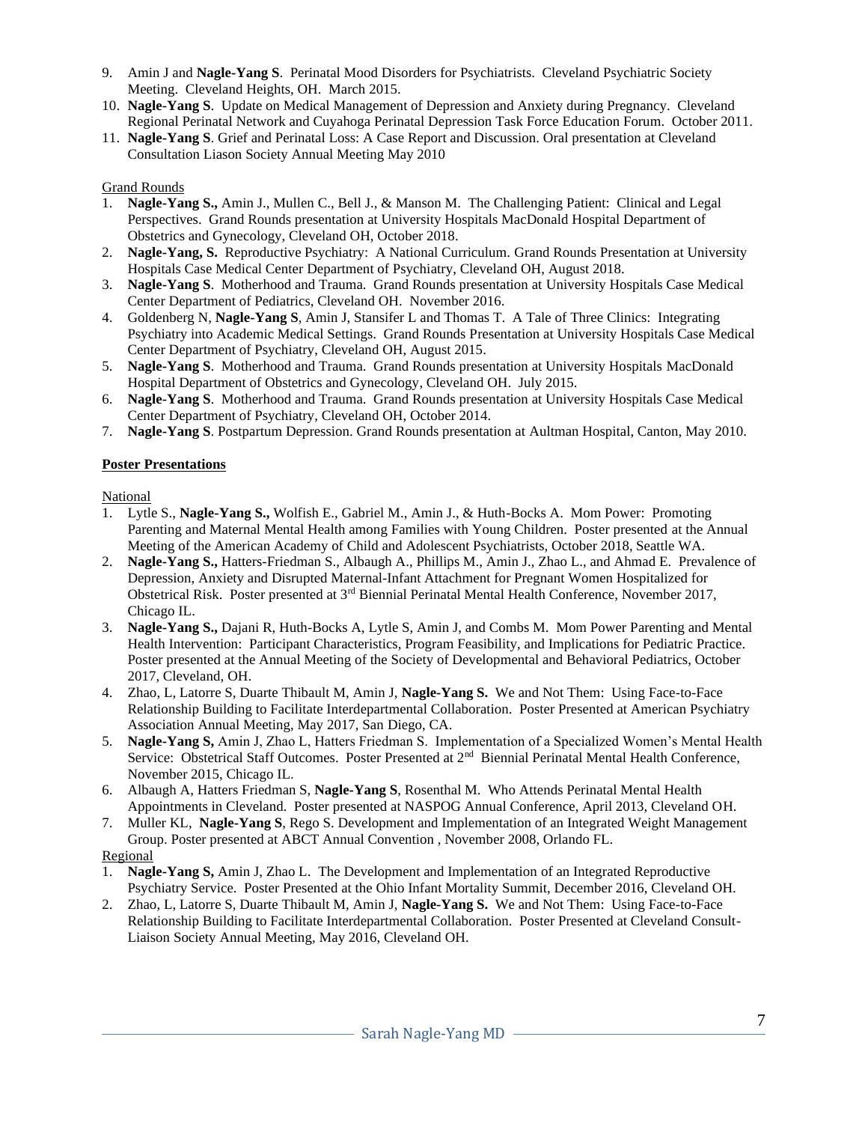- 9. Amin J and **Nagle-Yang S**. Perinatal Mood Disorders for Psychiatrists. Cleveland Psychiatric Society Meeting. Cleveland Heights, OH. March 2015.
- 10. **Nagle-Yang S**. Update on Medical Management of Depression and Anxiety during Pregnancy. Cleveland Regional Perinatal Network and Cuyahoga Perinatal Depression Task Force Education Forum. October 2011.
- 11. **Nagle-Yang S**. Grief and Perinatal Loss: A Case Report and Discussion. Oral presentation at Cleveland Consultation Liason Society Annual Meeting May 2010

# Grand Rounds

- 1. **Nagle-Yang S.,** Amin J., Mullen C., Bell J., & Manson M. The Challenging Patient: Clinical and Legal Perspectives. Grand Rounds presentation at University Hospitals MacDonald Hospital Department of Obstetrics and Gynecology, Cleveland OH, October 2018.
- 2. **Nagle-Yang, S.** Reproductive Psychiatry: A National Curriculum. Grand Rounds Presentation at University Hospitals Case Medical Center Department of Psychiatry, Cleveland OH, August 2018.
- 3. **Nagle-Yang S**. Motherhood and Trauma. Grand Rounds presentation at University Hospitals Case Medical Center Department of Pediatrics, Cleveland OH. November 2016.
- 4. Goldenberg N, **Nagle-Yang S**, Amin J, Stansifer L and Thomas T. A Tale of Three Clinics: Integrating Psychiatry into Academic Medical Settings. Grand Rounds Presentation at University Hospitals Case Medical Center Department of Psychiatry, Cleveland OH, August 2015.
- 5. **Nagle-Yang S**. Motherhood and Trauma. Grand Rounds presentation at University Hospitals MacDonald Hospital Department of Obstetrics and Gynecology, Cleveland OH. July 2015.
- 6. **Nagle-Yang S**. Motherhood and Trauma. Grand Rounds presentation at University Hospitals Case Medical Center Department of Psychiatry, Cleveland OH, October 2014.
- 7. **Nagle-Yang S**. Postpartum Depression. Grand Rounds presentation at Aultman Hospital, Canton, May 2010.

## **Poster Presentations**

National

- 1. Lytle S., **Nagle-Yang S.,** Wolfish E., Gabriel M., Amin J., & Huth-Bocks A. Mom Power: Promoting Parenting and Maternal Mental Health among Families with Young Children. Poster presented at the Annual Meeting of the American Academy of Child and Adolescent Psychiatrists, October 2018, Seattle WA.
- 2. **Nagle-Yang S.,** Hatters-Friedman S., Albaugh A., Phillips M., Amin J., Zhao L., and Ahmad E. Prevalence of Depression, Anxiety and Disrupted Maternal-Infant Attachment for Pregnant Women Hospitalized for Obstetrical Risk. Poster presented at 3rd Biennial Perinatal Mental Health Conference, November 2017, Chicago IL.
- 3. **Nagle-Yang S.,** Dajani R, Huth-Bocks A, Lytle S, Amin J, and Combs M. Mom Power Parenting and Mental Health Intervention: Participant Characteristics, Program Feasibility, and Implications for Pediatric Practice. Poster presented at the Annual Meeting of the Society of Developmental and Behavioral Pediatrics, October 2017, Cleveland, OH.
- 4. Zhao, L, Latorre S, Duarte Thibault M, Amin J, **Nagle-Yang S.** We and Not Them: Using Face-to-Face Relationship Building to Facilitate Interdepartmental Collaboration. Poster Presented at American Psychiatry Association Annual Meeting, May 2017, San Diego, CA.
- 5. **Nagle-Yang S,** Amin J, Zhao L, Hatters Friedman S. Implementation of a Specialized Women's Mental Health Service: Obstetrical Staff Outcomes. Poster Presented at 2<sup>nd</sup> Biennial Perinatal Mental Health Conference, November 2015, Chicago IL.
- 6. Albaugh A, Hatters Friedman S, **Nagle-Yang S**, Rosenthal M. Who Attends Perinatal Mental Health Appointments in Cleveland. Poster presented at NASPOG Annual Conference, April 2013, Cleveland OH.
- 7. Muller KL, **Nagle-Yang S**, Rego S. Development and Implementation of an Integrated Weight Management Group. Poster presented at ABCT Annual Convention , November 2008, Orlando FL.

# Regional

- 1. **Nagle-Yang S,** Amin J, Zhao L. The Development and Implementation of an Integrated Reproductive Psychiatry Service. Poster Presented at the Ohio Infant Mortality Summit, December 2016, Cleveland OH.
- 2. Zhao, L, Latorre S, Duarte Thibault M, Amin J, **Nagle-Yang S.** We and Not Them: Using Face-to-Face Relationship Building to Facilitate Interdepartmental Collaboration. Poster Presented at Cleveland Consult-Liaison Society Annual Meeting, May 2016, Cleveland OH.